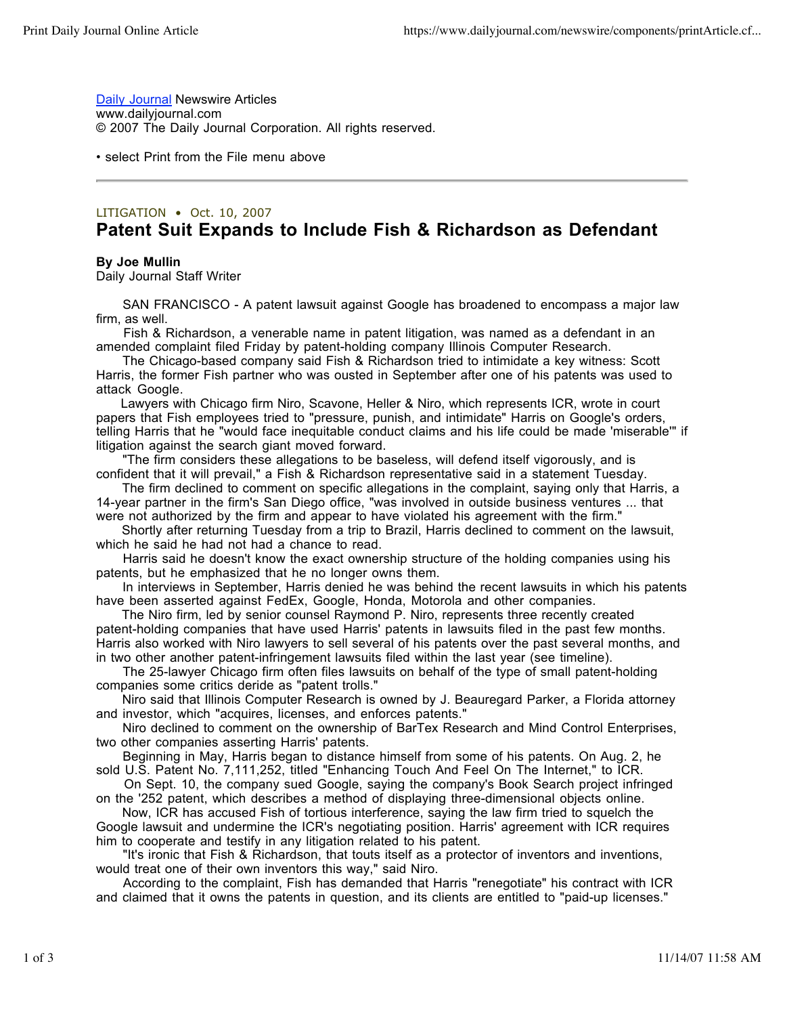**Daily Journal Newswire Articles** www.dailyjournal.com © 2007 The Daily Journal Corporation. All rights reserved.

• select Print from the File menu above

## LITIGATION • Oct. 10, 2007 **Patent Suit Expands to Include Fish & Richardson as Defendant**

## **By Joe Mullin**

Daily Journal Staff Writer

 SAN FRANCISCO - A patent lawsuit against Google has broadened to encompass a major law firm, as well.

 Fish & Richardson, a venerable name in patent litigation, was named as a defendant in an amended complaint filed Friday by patent-holding company Illinois Computer Research.

 The Chicago-based company said Fish & Richardson tried to intimidate a key witness: Scott Harris, the former Fish partner who was ousted in September after one of his patents was used to attack Google.

 Lawyers with Chicago firm Niro, Scavone, Heller & Niro, which represents ICR, wrote in court papers that Fish employees tried to "pressure, punish, and intimidate" Harris on Google's orders, telling Harris that he "would face inequitable conduct claims and his life could be made 'miserable'" if litigation against the search giant moved forward.

 "The firm considers these allegations to be baseless, will defend itself vigorously, and is confident that it will prevail," a Fish & Richardson representative said in a statement Tuesday.

 The firm declined to comment on specific allegations in the complaint, saying only that Harris, a 14-year partner in the firm's San Diego office, "was involved in outside business ventures ... that were not authorized by the firm and appear to have violated his agreement with the firm."

 Shortly after returning Tuesday from a trip to Brazil, Harris declined to comment on the lawsuit, which he said he had not had a chance to read.

 Harris said he doesn't know the exact ownership structure of the holding companies using his patents, but he emphasized that he no longer owns them.

 In interviews in September, Harris denied he was behind the recent lawsuits in which his patents have been asserted against FedEx, Google, Honda, Motorola and other companies.

 The Niro firm, led by senior counsel Raymond P. Niro, represents three recently created patent-holding companies that have used Harris' patents in lawsuits filed in the past few months. Harris also worked with Niro lawyers to sell several of his patents over the past several months, and in two other another patent-infringement lawsuits filed within the last year (see timeline).

 The 25-lawyer Chicago firm often files lawsuits on behalf of the type of small patent-holding companies some critics deride as "patent trolls."

 Niro said that Illinois Computer Research is owned by J. Beauregard Parker, a Florida attorney and investor, which "acquires, licenses, and enforces patents."

 Niro declined to comment on the ownership of BarTex Research and Mind Control Enterprises, two other companies asserting Harris' patents.

 Beginning in May, Harris began to distance himself from some of his patents. On Aug. 2, he sold U.S. Patent No. 7,111,252, titled "Enhancing Touch And Feel On The Internet," to ICR.

 On Sept. 10, the company sued Google, saying the company's Book Search project infringed on the '252 patent, which describes a method of displaying three-dimensional objects online.

 Now, ICR has accused Fish of tortious interference, saying the law firm tried to squelch the Google lawsuit and undermine the ICR's negotiating position. Harris' agreement with ICR requires him to cooperate and testify in any litigation related to his patent.

 "It's ironic that Fish & Richardson, that touts itself as a protector of inventors and inventions, would treat one of their own inventors this way," said Niro.

 According to the complaint, Fish has demanded that Harris "renegotiate" his contract with ICR and claimed that it owns the patents in question, and its clients are entitled to "paid-up licenses."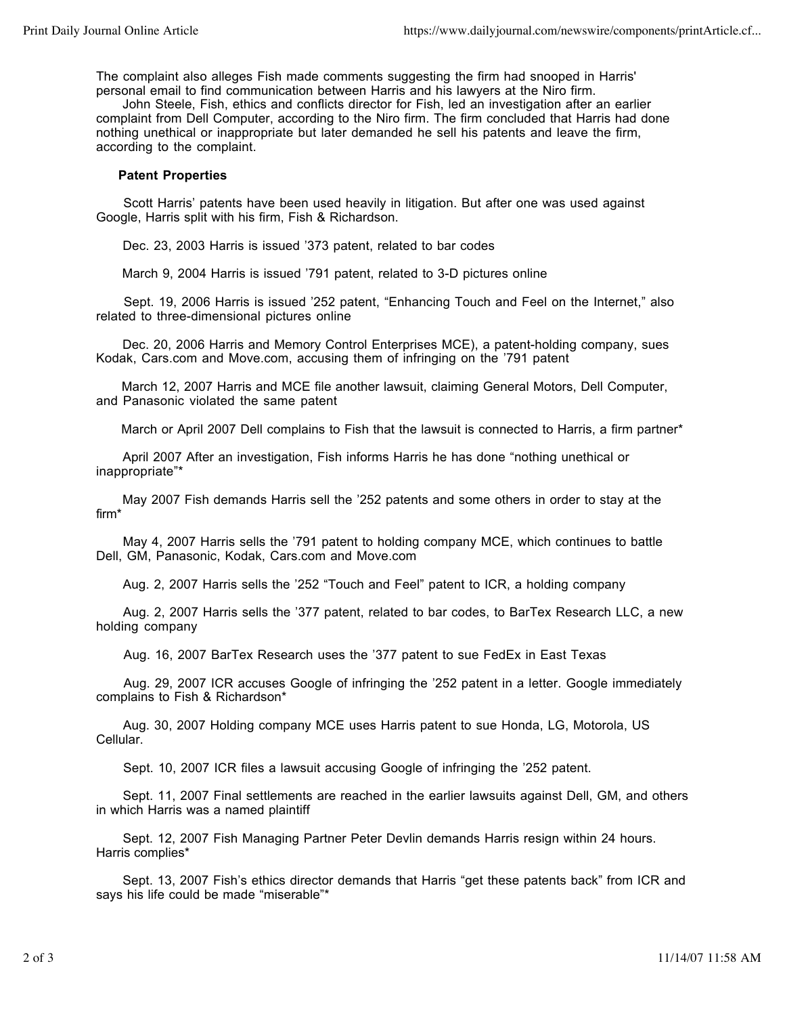The complaint also alleges Fish made comments suggesting the firm had snooped in Harris' personal email to find communication between Harris and his lawyers at the Niro firm.

 John Steele, Fish, ethics and conflicts director for Fish, led an investigation after an earlier complaint from Dell Computer, according to the Niro firm. The firm concluded that Harris had done nothing unethical or inappropriate but later demanded he sell his patents and leave the firm, according to the complaint.

## **Patent Properties**

 Scott Harris' patents have been used heavily in litigation. But after one was used against Google, Harris split with his firm, Fish & Richardson.

Dec. 23, 2003 Harris is issued '373 patent, related to bar codes

March 9, 2004 Harris is issued '791 patent, related to 3-D pictures online

 Sept. 19, 2006 Harris is issued '252 patent, "Enhancing Touch and Feel on the Internet," also related to three-dimensional pictures online

 Dec. 20, 2006 Harris and Memory Control Enterprises MCE), a patent-holding company, sues Kodak, Cars.com and Move.com, accusing them of infringing on the '791 patent

 March 12, 2007 Harris and MCE file another lawsuit, claiming General Motors, Dell Computer, and Panasonic violated the same patent

March or April 2007 Dell complains to Fish that the lawsuit is connected to Harris, a firm partner\*

 April 2007 After an investigation, Fish informs Harris he has done "nothing unethical or inappropriate"\*

 May 2007 Fish demands Harris sell the '252 patents and some others in order to stay at the firm\*

 May 4, 2007 Harris sells the '791 patent to holding company MCE, which continues to battle Dell, GM, Panasonic, Kodak, Cars.com and Move.com

Aug. 2, 2007 Harris sells the '252 "Touch and Feel" patent to ICR, a holding company

 Aug. 2, 2007 Harris sells the '377 patent, related to bar codes, to BarTex Research LLC, a new holding company

Aug. 16, 2007 BarTex Research uses the '377 patent to sue FedEx in East Texas

 Aug. 29, 2007 ICR accuses Google of infringing the '252 patent in a letter. Google immediately complains to Fish & Richardson\*

 Aug. 30, 2007 Holding company MCE uses Harris patent to sue Honda, LG, Motorola, US Cellular.

Sept. 10, 2007 ICR files a lawsuit accusing Google of infringing the '252 patent.

 Sept. 11, 2007 Final settlements are reached in the earlier lawsuits against Dell, GM, and others in which Harris was a named plaintiff

 Sept. 12, 2007 Fish Managing Partner Peter Devlin demands Harris resign within 24 hours. Harris complies\*

 Sept. 13, 2007 Fish's ethics director demands that Harris "get these patents back" from ICR and says his life could be made "miserable"\*